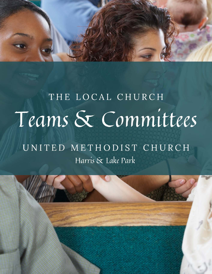

# THE LOCAL CHURCH Teams & Committees

# UNITED METHODIST CHURCH Harris & Lake Park

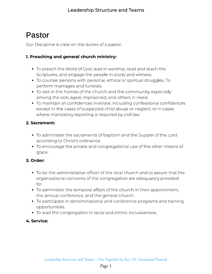# Pastor

Our Discipline is clear on the duties of a pastor:

### 1. Preaching and general church ministry:

- To preach the Word of God, lead in worship, read and teach the<br>Scriptures, and engage the people in study and witness.
- To counsel persons with personal, ethical or spiritual struggles. To perform marriages and funerals.
- To visit in the homes of the church and the community, especially among the sick, aged, imprisoned, and others in need.
- To maintain all confidences inviolate, including confessional confidences except in the cases of suspected child abuse or neglect, or in cases except in the cases of suspected child abuse or neglect, or in cases where mandatory reporting is required by civil law.

### 2. Sacrament:

- To administer the sacraments of baptism and the Supper of the Lord
- according to Christ's ordinance. To encourage the private and congregational use of the other means of grace.

### 3. Order:

- To be the administrative of the congregation are adequately provided organizational concerns of the congregation are adequately provided
- To administer the temporal affairs of the church in their appointment, the annual conference, and the general church.
- the annual conference, and the general church. To participate in denominational and conference programs and training
- opportunities. To lead the congregation in racial and ethnic inclusiveness.

### 4. Service: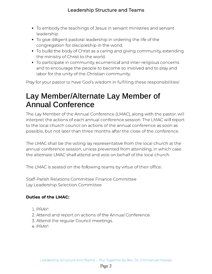- To embody the teachings of Jesus in servant ministries and servant
- To give diligent pastoral leadership in ordering the life of the congregation for discipleship in the world.
- To build the body of Christ as a caring and giving community, extending the ministry of Christ to the world.
- To participate in community, ecumenical and inter-religious concerns and to encourage the people to become so involved and to pray and and to encourage the people to become so involved and to pray and labor for the unity of the Christian community.

Pray for your pastor to have God's wisdom in fulfilling these responsibilities!

# Lay Member/Alternate Lay Member of Annual Conference

The Lay Member of the Annual Conference (LMAC), along with the pastor, will to the local church council on actions of the annual conference as soon as to the local church council on actions of the annual conference as soon as possible, but not later than three months after the close of the conference.

The LMAC shall be the voting lay representative from the local church at the annual conference session, unless prevented from attending, in which case the alternate I MAC shall attend and vote on behalf of the local church.

The LMAC is seated on the following teams by virtue of their office:

Staff-Parish Relations Committee Finance Committee Lay Leadership Selection Committee

### Duties of the LMAC:

- 1. PRAY!
- 2. Attend and report on actions of the Annual Conference.
- . Attend and report on actions of the Annual Conference. . Attend the regular Council meetings.
-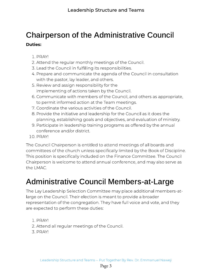### Chairperson of the Administrative Council Duties:

- 1. PRAY!
- 2. Attend the regular monthly meetings of the Council.
- 3. Lead the Council in fulfilling its responsibilities.
- 4. Prepare and communicate the agenda of the Council in consultation with the pastor, lay leader, and others.
- 5. Review and assign responsibility for the implementing of actions taken by the Council.
- 6. Communicate with members of the Council, and others as appropriate, to permit informed action at the Team meetings.
- 7. Coordinate the various activities of the Council.
- 8. Provide the initiative and leadership for the Council as it does the planning, establishing goals and objectives, and evaluation of ministry.
- 9. Participate in leadership training programs as offered by the annual conference and/or district.
- 10. PRAY!

The Council Chairperson is entitled to attend meetings of all boards and<br>committees of the church unless specifically limited by the Book of Discipline. This position is specifically included on the Finance Committee. The Council Chairperson is welcome to attend annual conference, and may also serve as Chairperson is welcome to attend annual conference, and may also serve as

# Administrative Council Members-at-Large

The Lay Leadership Selection Committee may place additional members-at-<br>large on the Council. Their election is meant to provide a broader representation of the congregation. They have full voice and vote, and they representation of the congregation. They have full voice and vote, and they are expected to perform these duties:

- 
- $\overline{P}$ . Attana . Attend all regular meetings of the Council.
-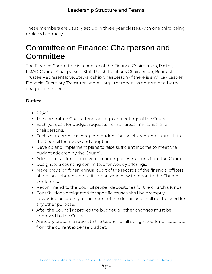These members are usually set-up in three-year classes, with one-third being replaced annually.

# Committee on Finance: Chairperson and **Committee**

The Finance Committee is made up of the Finance Chairperson, Pastor,<br>LMAC, Council Chairperson, Staff-Parish Relations Chairperson, Board of Trustee Representative, Stewardship Chairperson (if there is any), Lay Leader, Trustee Representative, Stewardship Chairperson (if there is any), Lay Leader, Financial Secretary, Treasurer, and At-large members as determined by the charge conference.

### Duties:

- $\bullet$  PRAY!
- The committee Chair attends all regular meetings of the Council.
- Each year, ask for budget requests from all areas, ministries, and Each year, ask for budget requests from all areas, ministries, and
- chairpersons.<br>• Each year, compile a complete budget for the church, and submit it to the Council for review and adoption.
- Develop and implement plans to raise sufficient income to meet the budget adopted by the Council.
- Administer all funds received according to instructions from the Council.
- Designate a counting committee for weekly offerings.
- Make provision for an annual audit of the records of the financial officers. of the local church, and all its organizations, with report to the Charge of the local church, and all its organizations, with report to the Charge
- Recommend to the Council proper depositories for the church's funds.
- Contributions designated for specific causes shall be promptly forwarded according to the intent of the donor, and shall not be used for any other purpose.
- any other purpose. After the Council approves the budget, all other changes must be
- approved by the Council.<br>Annually prepare a report to the Council of all designated funds separate from the current expense budget. from the current expense budget.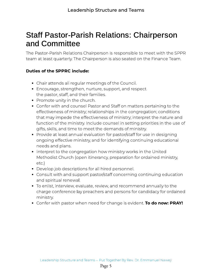### Staff Pastor-Parish Relations: Chairperson and Committee

The Pastor-Parish Relations Chairperson is responsible to meet with the SPPR. team at least quarterly. The Chairperson is also seated on the Finance Team.

### Duties of the SPPRC include:

- 
- Chair attends all regular meetings of the Council. the pastor, staff, and their families.
- $\bullet$  Promote unity in the church.
- Confer with and counsel Pastor and Staff on matters pertaining to the effectiveness of ministry; relationships in the congregation; conditions that may impede the effectiveness of ministry; interpret the nature and function of the ministry. Include counsel in setting priorities in the use of gifts, skills, and time to meet the demands of ministry.
- Provide at least annual evaluation for pastor/staff for use in designing Provide at least annual evaluation for pastor/staff for use in designing ongoing effective ministry, and for identifying continuing educational
- needs and plans.<br>• Interpret to the congregation how ministry works in the United Interpret to the congregation how ministry works in the United Methodist Church (open itinerancy, preparation for ordained ministry,
- etc.)<br>• Develop job descriptions for all hired personnel.
- Consult with and support pastor/staff concerning continuing education and spiritual renewal.
- To enlist, interview, evaluate, review, and recommend annually to the To enlist, interview, evaluate, review, and recommend annually to the charge conference lay preachers and persons for candidacy for ordained
- ...............<br>Confer with pastor when need for change is evident. **To do now: PRAY!**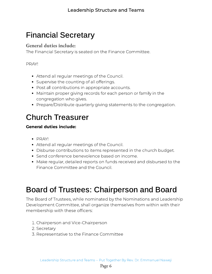# Financial Secretary

### General duties include:

The Financial Secretary is seated on the Finance Committee.

#### PRAY!

- Attend all regular meetings of the Council.<br>• Supervise the counting of all offerings.
- 
- Post all contributions in appropriate accounts.
- Maintain proper giving records for each person or family in the congregation who gives.
- Prepare/Distribute quarterly giving statements to the congregation. Prepare/Distribute quarterly giving statements to the congregation.

# Church Treasurer

### General duties include:

- $\bullet$  PRAY!
- Attend all regular meetings of the Council.
- Disburse contributions to items represented in the church budget.
- Send conference benevolence based on income.
- Make regular, detailed reports on funds received and disbursed to the Finance Committee and the Council.

# Board of Trustees: Chairperson and Board

The Board of Trustees, while nominated by the Nominations and Leadership<br>Development Committee, shall organize themselves from within with their membership with these officers: membership with these ofcers:

- . Chairperson and Vice-Chairperson
- 
- 3. Representative to the Finance Committee . Representative to the Finance Committee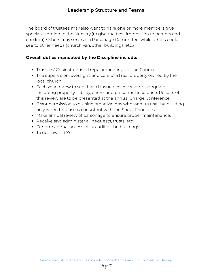### Leadership Structure and Teams

The board of trustees may also want to have one or more members give<br>special attention to the Nursery (to give the best impression to parents and children). Others may serve as a Parsonage Committee, while others could children). Children in the serve as a Parsonage Committee, while could consider see to other needs (church van, other buildings, etc.)

#### Overall duties mandated by the Discipline include:

- 
- The superistics all regular meetings of the Council. The supervision, oversight, and care of all real property owned by the
- local church.<br>• Each year review to see that all insurance coverage is adequate, including property, liability, crime, and personnel insurance. Results of this review are to be presented at the annual Charge Conference.
- Grant permission to outside organizations who want to use the building only when that use is consistent with the Social Principles.
- Make annual review of parsonage to ensure proper maintenance.
- Receive and administer all bequests, trusts, etc.
- Perform annual accessibility audit of the buildings.
- $\bullet$  To do now: PRAY!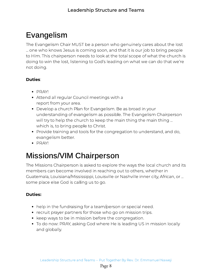# Evangelism

The Evangelism Chair MUST be a person who genuinely cares about the lost to Him. This chairperson needs to look at the total scope of what the church is doing to win the lost, listening to God's leading on what we can do that we're doing to win the lost, listening to God's leading on what we can do that we're not don'ny d

### Duties:

- 
- PRAY!<br>• Attend all regular Council meetings with a report from your area.
- Develop a church Plan for Evangelism. Be as broad in your understanding of evangelism as possible. The Evangelism Chairperson will try to help the church to keep the main thing the main thing ... which is, to bring people to Christ.
- Provide training and tools for the congregation to understand, and do, evangelism better.
- $\bullet$  PRAY!

# Missions/VIM Chairperson

The Missions Chairperson is asked to explore the ways the local church and its members can become involved in reaching out to others, whether in Guatemala, Louisiana/Mississippi, Louisville or Nashville inner city, African, or ... Guatemala, Louisiana/Mississippi, Louisville or Nashville inner city, African, or ... some place else God is calling us to go.

### Duties:

- 
- help in the fundraising for a team/person or special need.
- keep ways to be in mission before the congregation.
- keep ways to be in mission before the congregation. To do now miny films good where He is leading to minimize me sang and globally.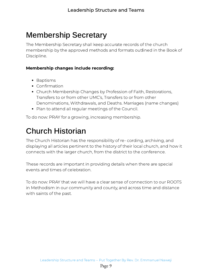# Membership Secretary

The Membership Secretary shall keep accurate records of the church<br>membership by the approved methods and formats outlined in the Book of membership by the approved methods and formats outlined in the Book of Discipline.

#### Membership changes include recording:

- 
- Baptisms<br>• Confirmation
- Church Membership Changes by Profession of Faith, Restorations, Transfers to or from other UMC's, Transfers to or from other Denominations, Withdrawals, and Deaths. Marriages (name changes)
- Plan to attend all regular meetings of the Council. Plan to attend all regular meetings of the Council.

To do now: PRAY for a growing, increasing membership.

# Church Historian

The Church Historian has the responsibility of re- cording, archiving, and<br>displaying all articles pertinent to the history of their local church, and how it displaying all articles permitted to the history of their local change in the host is connects with the larger church, from the district to the conference.

These records are important in providing details when there are special<br>events and times of celebration.

To do now: PRAY that we will have a clear sense of connection to our ROOTS with saints of the past. with saints of the past.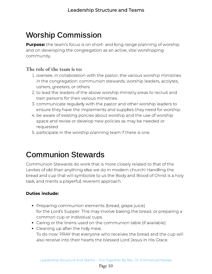# Worship Commission

the team's focus is on short- and long-range planning of worship. and on developing the congregation as an active, vital worshipping community. PPP<sub>P</sub>

### The role of the team is to:

- 1. oversee, in collaboration with the pastor, the various worship ministries<br>in the congregation: communion stewards, worship leaders, acolytes, ushers, greeters, or others.
- 2. to lead the leaders of the above worship ministry areas to recruit and train persons for their various ministries.
- 3. communicate regularly with the pastor and other worship leaders to ensure they have the implements and supplies they need for worship.
- 4. be aware of existing policies about worship and the use of worship. ware aware of existing policies about working and the use of worship space and revise or develop new policies as may be needed or
- requested. . participate in the worship planning team if there is one.

### Communion Stewards

Communion Stewards do work that is more closely related to that of the<br>Levites of old than anything else we do in modern church! Handling the bread and cup that will symbolize to us the Body and Blood of Christ is a holy task, and merits a prayerful, reverent approach. task, and merits a prayerful, reverent approach.

### **Duties include:**

- Preparing communion elements (bread, grape juice)<br>for the Lord's Supper. This may involve baking the bread, or preparing a common cup or individual cups.
- Caring or the linens used on the communion table (if available).
- $\bullet$  Cleaning up after the holy meal. To do now: PRAY that everyone who receives the bread and the cup will also receive into their hearts the blessed Lord Jesus in His Grace.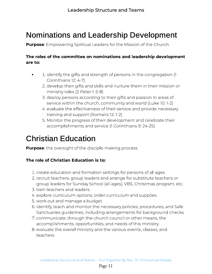# Nominations and Leadership Development

Purpose: Empowering Spiritual Leaders for the Mission of the Church

# The roles of the committee on nominations and leadership development<br>are to:

- 1. identify the gifts and strength of persons in the congregation (1<br>Corinthians 12: 4-7)
	- 2. develop their gifts and skills and nurture them in their mission or ministry roles (2 Peter 1: 5-8)
	- 3. deploy persons according to their gifts and passion in areas of service within the church, community and world (Luke 10:1-2)
	- 4. evaluate the effectiveness of their service and provide necessary training and support (Romans 12:1-2)
	- 5. Monitor the progress of their development and celebrate their accomplishments and service (1 Corinthians 9: 24-25) accomplishments and service  $\mu$  correlations  $\sim$  24)

# Christian Education

**Purpose**: the oversight of the disciple-making process

#### The role of Christian Education is to: The role of Christian Education is to:

- 
- 1. create education and formation settings for persons of all ages.<br>2. recruit teachers, group leaders and arrange for substitute teachers or group leaders for Sunday School (all ages), VBS, Christmas program, etc.
- 3. train teachers and leaders.
- 4. explore curriculum options; order curriculum and supplies.
- 5. work out and manage a budget.
- 6. identify, teach and monitor the necessary policies, procedures, and Safe Sanctuaries guidelines, including arrangements for background checks.
- 7. communicate, through the church council or other means, the accomplishments, opportunities, and needs of this ministry.
- accomplishments, opportunities, and needs of this ministry. . evaluate the overall ministry and the various events, classes, and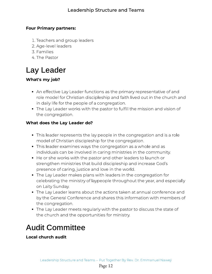### Four Primary partners:

- 1. Teachers and group leaders<br>2. Age-level leaders
- 
- 3. Families
- 4. The Pastor

# Lay Leader

### What's my job?

- An effective Lay Leader functions as the primary representative of and<br>role model for Christian discipleship and faith lived out in the church and in daily life for the people of a congregation.
- The Lay Leader works with the pastor to fulfill the mission and vision of the congregation. the congregation.

### when does the Lay Leader does

- This leader represents the lay people in the congregation and is a role model of Christian discipleship for the congregation.
- This leader examines ways the congregation as a whole and as individuals can be involved in caring ministries in the community.
- He or she works with the pastor and other leaders to launch or strengthen ministries that build discipleship and increase God's presence of caring, justice and love in the world.
- The Lay Leader makes plans with leaders in the congregation for The Lay Leader makes plans with leaders in the congregation for celebrating the ministry of laypeople throughout the year, and especially on Laity Sunday.<br>The Lay Leader learns about the actions taken at annual conference and •
- The Lay Leader learns about the actions taken at annual conference and by the General Conference and shares this information with members of
- the congregation.<br>• The Lay Leader meets regularly with the pastor to discuss the state of The Lay Leader meets regularly with the pastor to discuss the state of the church and the opportunities for ministry.

# Audit Committee

**Local church audit**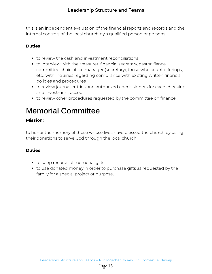this is an independent evaluation of the indication operation of the and the na internal controls of the local church by a qualied person or persons

### Duties

- 
- to review the cash and investment reconciliations<br>• to interview with the treasurer, financial secretary, pastor, fiance committee chair, office manager (secretary), those who count offerings, etc., with inquiries regarding compliance with existing written financial policies and procedures
- to review journal entries and authorized check signers for each checking and investment account
- $\frac{1}{2}$ to review other procedures requested by the committee on nance

# Memorial Committee

### Mission:

to honor the memory of those whose lives have blessed the church by using their donations to serve God through the local church

### Duties

- 
- to keep records of memorial gifts<br>• to use donated money in order to purchase gifts as requested by the to use donated money in order to purchase gifts as requested by the family for a special project or purpose.